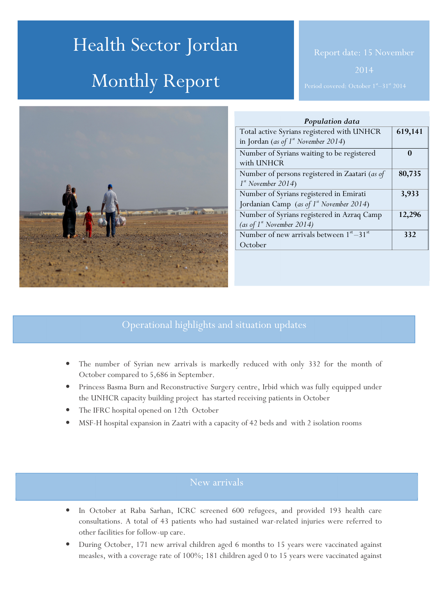# Health Sector Jordan Monthly Report



| Population data                                   |         |
|---------------------------------------------------|---------|
| Total active Syrians registered with UNHCR        | 619,141 |
| in Jordan (as of $1^{st}$ November 2014)          |         |
| Number of Syrians waiting to be registered        | 0       |
| with UNHCR                                        |         |
| Number of persons registered in Zaatari (as of    | 80,735  |
| $1st$ November 2014)                              |         |
| Number of Syrians registered in Emirati           | 3,933   |
| Jordanian Camp (as of 1st November 2014)          |         |
| Number of Syrians registered in Azraq Camp        | 12,296  |
| (as of $1^{st}$ November 2014)                    |         |
| Number of new arrivals between $1^{st} - 31^{st}$ | 332     |
| October                                           |         |
|                                                   |         |

# Operational highlights and situation updates

- The number of Syrian new arrivals is markedly reduced with only 332 for the month of October compared to 5,686 in September.
- Princess Basma Burn and Reconstructive Surgery centre, Irbid which was fully equipped under the UNHCR capacity building project has started receiving patients in October
- The IFRC hospital opened on 12th October
- MSF-H hospital expansion in Zaatri with a capacity of 42 beds and with 2 isolation rooms

- In October at Raba Sarhan, ICRC screened 600 refugees, and provided 193 health care consultations. A total of 43 patients who had sustained war-related injuries were referred to other facilities for follow-up care.
- During October, 171 new arrival children aged 6 months to 15 years were vaccinated against measles, with a coverage rate of 100%; 181 children aged 0 to 15 years were vaccinated against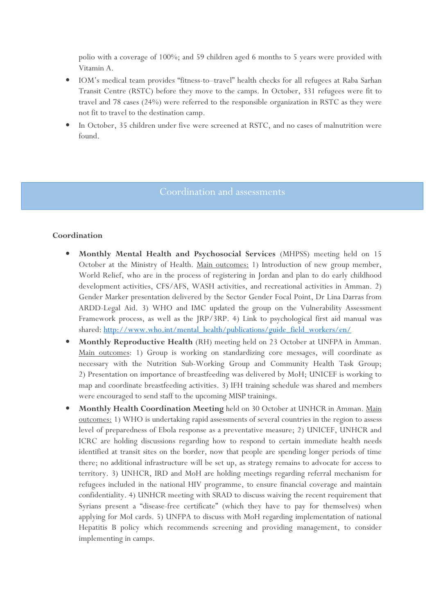polio with a coverage of 100%; and 59 children aged 6 months to 5 years were provided with Vitamin A.

- IOM's medical team provides "fitness-to–travel" health checks for all refugees at Raba Sarhan Transit Centre (RSTC) before they move to the camps. In October, 331 refugees were fit to travel and 78 cases (24%) were referred to the responsible organization in RSTC as they were not fit to travel to the destination camp.
- In October, 35 children under five were screened at RSTC, and no cases of malnutrition were found.

#### Coordination

- Monthly Mental Health and Psychosocial Services (MHPSS) meeting held on 15 October at the Ministry of Health. Main outcomes: 1) Introduction of new group member, World Relief, who are in the process of registering in Jordan and plan to do early childhood development activities, CFS/AFS, WASH activities, and recreational activities in Amman. 2) Gender Marker presentation delivered by the Sector Gender Focal Point, Dr Lina Darras from ARDD-Legal Aid. 3) WHO and IMC updated the group on the Vulnerability Assessment Framework process, as well as the JRP/3RP. 4) Link to psychological first aid manual was shared: http://www.who.int/mental\_health/publications/guide\_field\_workers/en/
- Monthly Reproductive Health (RH) meeting held on 23 October at UNFPA in Amman. Main outcomes: 1) Group is working on standardizing core messages, will coordinate as necessary with the Nutrition Sub-Working Group and Community Health Task Group; 2) Presentation on importance of breastfeeding was delivered by MoH; UNICEF is working to map and coordinate breastfeeding activities. 3) IFH training schedule was shared and members were encouraged to send staff to the upcoming MISP trainings.
- Monthly Health Coordination Meeting held on 30 October at UNHCR in Amman. Main outcomes: 1) WHO is undertaking rapid assessments of several countries in the region to assess level of preparedness of Ebola response as a preventative measure; 2) UNICEF, UNHCR and ICRC are holding discussions regarding how to respond to certain immediate health needs identified at transit sites on the border, now that people are spending longer periods of time there; no additional infrastructure will be set up, as strategy remains to advocate for access to territory. 3) UNHCR, IRD and MoH are holding meetings regarding referral mechanism for refugees included in the national HIV programme, to ensure financial coverage and maintain confidentiality. 4) UNHCR meeting with SRAD to discuss waiving the recent requirement that Syrians present a "disease-free certificate" (which they have to pay for themselves) when applying for MoI cards. 5) UNFPA to discuss with MoH regarding implementation of national Hepatitis B policy which recommends screening and providing management, to consider implementing in camps.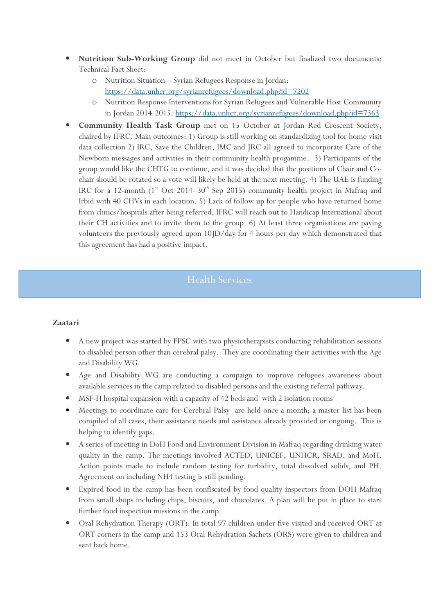- Nutrition Sub-Working Group did not meet in October but finalized two documents: Technical Fact Sheet:
	- o Nutrition Situation Syrian Refugees Response in Jordan: https://data.unhcr.org/syrianrefugees/download.php?id=7202
	- o Nutrition Response Interventions for Syrian Refugees and Vulnerable Host Community in Jordan 2014-2015: https://data.unhcr.org/syrianrefugees/download.php?id=7363
- Community Health Task Group met on 15 October at Jordan Red Crescent Society, chaired by IFRC. Main outcomes: 1) Group is still working on standardizing tool for home visit data collection 2) IRC, Save the Children, IMC and JRC all agreed to incorporate Care of the Newborn messages and activities in their community health progamme. 3) Participants of the group would like the CHTG to continue, and it was decided that the positions of Chair and Cochair should be rotated so a vote will likely be held at the next meeting. 4) The UAE is funding IRC for a 12-month ( $1<sup>st</sup>$  Oct 2014–30<sup>th</sup> Sep 2015) community health project in Mafraq and Irbid with 40 CHVs in each location. 5) Lack of follow up for people who have returned home from clinics/hospitals after being referred; IFRC will reach out to Handicap International about their CH activities and to invite them to the group. 6) At least three organisations are paying volunteers the previously agreed upon 10JD/day for 4 hours per day which demonstrated that this agreement has had a positive impact.

## Health Services

#### Zaatari

- A new project was started by FPSC with two physiotherapists conducting rehabilitation sessions to disabled person other than cerebral palsy. They are coordinating their activities with the Age and Disability WG.
- Age and Disability WG are conducting a campaign to improve refugees awareness about available services in the camp related to disabled persons and the existing referral pathway.
- MSF-H hospital expansion with a capacity of 42 beds and with 2 isolation rooms
- Meetings to coordinate care for Cerebral Palsy are held once a month; a master list has been compiled of all cases, their assistance needs and assistance already provided or ongoing. This is helping to identify gaps.
- A series of meeting in DoH Food and Environment Division in Mafraq regarding drinking water quality in the camp. The meetings involved ACTED, UNICEF, UNHCR, SRAD, and MoH. Action points made to include random testing for turbidity, total dissolved solids, and PH. Agreement on including NH4 testing is still pending.
- Expired food in the camp has been confiscated by food quality inspectors from DOH Mafraq from small shops including chips, biscuits, and chocolates. A plan will be put in place to start further food inspection missions in the camp.
- Oral Rehydration Therapy (ORT): In total 97 children under five visited and received ORT at ORT corners in the camp and 153 Oral Rehydration Sachets (ORS) were given to children and sent back home.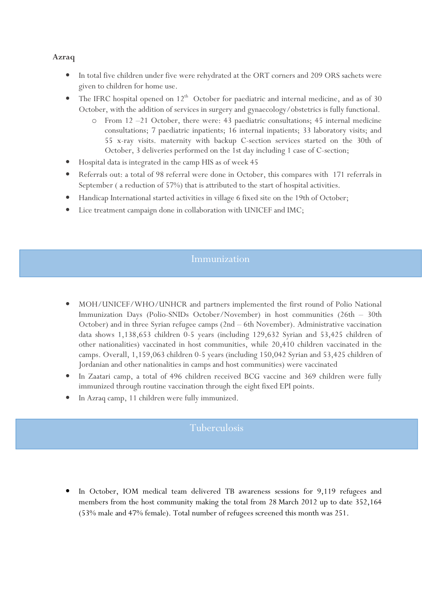### Azraq

- In total five children under five were rehydrated at the ORT corners and 209 ORS sachets were given to children for home use.
- The IFRC hospital opened on  $12<sup>th</sup>$  October for paediatric and internal medicine, and as of 30 October, with the addition of services in surgery and gynaecology/obstetrics is fully functional.
	- From 12 –21 October, there were: 43 paediatric consultations; 45 internal medicine consultations; 7 paediatric inpatients; 16 internal inpatients; 33 laboratory visits; and 55 x-ray visits. maternity with backup C-section services started on the 30th of October, 3 deliveries performed on the 1st day including 1 case of C-section;
- Hospital data is integrated in the camp HIS as of week 45
- Referrals out: a total of 98 referral were done in October, this compares with 171 referrals in September ( a reduction of 57%) that is attributed to the start of hospital activities.
- Handicap International started activities in village 6 fixed site on the 19th of October;
- Lice treatment campaign done in collaboration with UNICEF and IMC;

## Immunization

- MOH/UNICEF/WHO/UNHCR and partners implemented the first round of Polio National Immunization Days (Polio-SNIDs October/November) in host communities (26th – 30th October) and in three Syrian refugee camps (2nd – 6th November). Administrative vaccination data shows 1,138,653 children 0-5 years (including 129,632 Syrian and 53,425 children of other nationalities) vaccinated in host communities, while 20,410 children vaccinated in the camps. Overall, 1,159,063 children 0-5 years (including 150,042 Syrian and 53,425 children of Jordanian and other nationalities in camps and host communities) were vaccinated
- In Zaatari camp, a total of 496 children received BCG vaccine and 369 children were fully immunized through routine vaccination through the eight fixed EPI points.
- In Azraq camp, 11 children were fully immunized.

## Tuberculosis

In October, IOM medical team delivered TB awareness sessions for 9,119 refugees and members from the host community making the total from 28 March 2012 up to date 352,164 (53% male and 47% female). Total number of refugees screened this month was 251.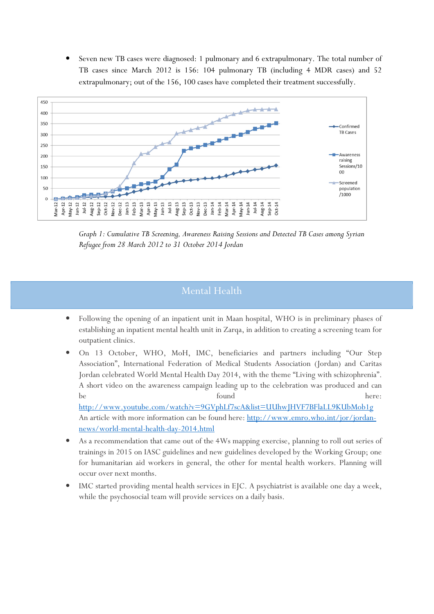• Seven new TB cases were diagnosed: 1 pulmonary and 6 extrapulmonary. The total number of TB cases since March 2012 is 156: 104 pulmonary TB (including 4 MDR cases) and 52 extrapulmonary; out of the 156, 100 cases have completed their treatment successfully.



Graph 1: Cumulative TB Screening, Awareness Raising Sessions and Detected TB Cases among Syrian Refugee from 28 March 2012 to 31 October 2014 Jordan

# Mental Health

- Following the opening of an inpatient unit in Maan hospital, WHO is in preliminary phases of establishing an inpatient mental health unit in Zarqa, in addition to creating a screening team for outpatient clinics.
- On 13 October, WHO, MoH, IMC, beneficiaries and partners including "Our Step Association", International Federation of Medical Students Association (Jordan) and Caritas Jordan celebrated World Mental Health Day 2014, with the theme "Living with schizophrenia". A short video on the awareness campaign leading up to the celebration was produced and can be found here: http://www.youtube.com/watch?v=9GVphLf7scA&list=UUhwJHVF7BFlaLL9KUbMob1g

An article with more information can be found here: http://www.emro.who.int/jor/jordannews/world-mental-health-day-2014.html

- As a recommendation that came out of the 4Ws mapping exercise, planning to roll out series of trainings in 2015 on IASC guidelines and new guidelines developed by the Working Group; one for humanitarian aid workers in general, the other for mental health workers. Planning will occur over next months.
- IMC started providing mental health services in EJC. A psychiatrist is available one day a week, while the psychosocial team will provide services on a daily basis.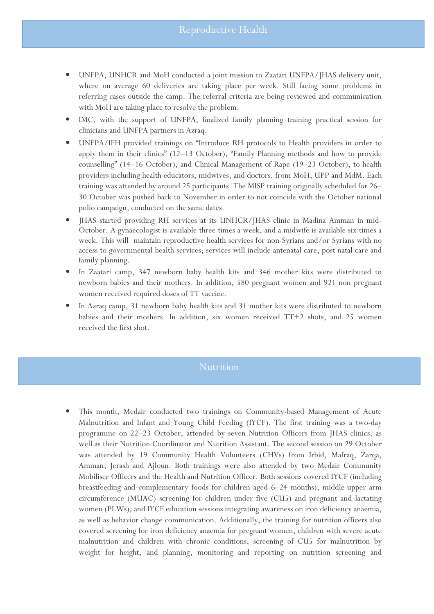- UNFPA, UNHCR and MoH conducted a joint mission to Zaatari UNFPA/JHAS delivery unit, where on average 60 deliveries are taking place per week. Still facing some problems in referring cases outside the camp. The referral criteria are being reviewed and communication with MoH are taking place to resolve the problem.
- IMC, with the support of UNFPA, finalized family planning training practical session for clinicians and UNFPA partners in Azraq.
- UNFPA/IFH provided trainings on "Introduce RH protocols to Health providers in order to apply them in their clinics" (12–13 October), "Family Planning methods and how to provide counselling" (14–16 October), and Clinical Management of Rape (19–23 October), to health providers including health educators, midwives, and doctors, from MoH, UPP and MdM. Each training was attended by around 25 participants. The MISP training originally scheduled for 26– 30 October was pushed back to November in order to not coincide with the October national polio campaign, conducted on the same dates.
- JHAS started providing RH services at its UNHCR/JHAS clinic in Madina Amman in mid-October. A gynaecologist is available three times a week, and a midwife is available six times a week. This will maintain reproductive health services for non-Syrians and/or Syrians with no access to governmental health services; services will include antenatal care, post natal care and family planning.
- In Zaatari camp, 347 newborn baby health kits and 346 mother kits were distributed to newborn babies and their mothers. In addition, 580 pregnant women and 921 non pregnant women received required doses of TT vaccine.
- In Azraq camp, 31 newborn baby health kits and 31 mother kits were distributed to newborn babies and their mothers. In addition, six women received TT+2 shots, and 25 women received the first shot.

• This month, Medair conducted two trainings on Community-based Management of Acute Malnutrition and Infant and Young Child Feeding (IYCF). The first training was a two-day programme on 22–23 October, attended by seven Nutrition Officers from JHAS clinics, as well as their Nutrition Coordinator and Nutrition Assistant. The second session on 29 October was attended by 19 Community Health Volunteers (CHVs) from Irbid, Mafraq, Zarqa, Amman, Jerash and Ajloun. Both trainings were also attended by two Medair Community Mobiliser Officers and the Health and Nutrition Officer. Both sessions covered IYCF (including breastfeeding and complementary foods for children aged 6–24 months), middle-upper arm circumference (MUAC) screening for children under five (CU5) and pregnant and lactating women (PLWs), and IYCF education sessions integrating awareness on iron deficiency anaemia, as well as behavior change communication. Additionally, the training for nutrition officers also covered screening for iron deficiency anaemia for pregnant women, children with severe acute malnutrition and children with chronic conditions, screening of CU5 for malnutrition by weight for height, and planning, monitoring and reporting on nutrition screening and